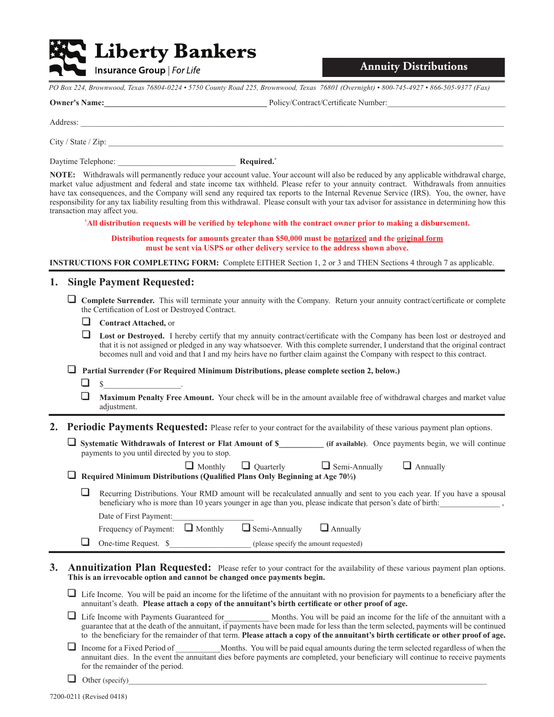# **Liberty Bankers**

Insurance Group | For Life

**Annuity Distributions**

PO Box 224, Brownwood, Texas 76804-0224 · 5750 County Road 225, Brownwood, Texas 76801 (Overnight) · 800-745-4927 · 866-505-9377 (Fax)

**Owner's Name:\_\_\_\_\_\_\_\_\_\_\_\_\_\_\_\_\_\_\_\_\_\_\_\_\_\_\_\_\_\_\_\_\_\_\_\_\_\_\_\_**3ROLF\&RQWUDFW&HUWL¿FDWH1XPEHUBBBBBBBBBBBBBBBBBBBBBBBBBBBBB

 $\overline{\phantom{B}}$ Guddes:

City / State / Zip:

Daytime Telephone: Network and Solid Required.\* Network and Solid Required.\* Network and Solid Required.\* Network and Solid Required.\* Network and Solid Required.\* Network and Solid Required.\* Network and Solid Required.\*

**NOTE:** Withdrawals will permanently reduce your account value. Your account will also be reduced by any applicable withdrawal charge, market value adjustment and federal and state income tax withheld. Please refer to your annuity contract. Withdrawals from annuities have tax consequences, and the Company will send any required tax reports to the Internal Revenue Service (IRS). You, the owner, have responsibility for any tax liability resulting from this withdrawal. Please consult with your tax advisor for assistance in determining how this transaction may affect you.

\*All distribution requests will be verified by telephone with the contract owner prior to making a disbursement.

**Distribution requests for amounts greater than \$50,000 must be notarized and the original form must be sent via USPS or other delivery service to the address shown above.** 

**INSTRUCTIONS FOR COMPLETING FORM:** Complete EITHER Section 1, 2 or 3 and THEN Sections 4 through 7 as applicable.

### **1. Single Payment Requested:**

- **1 Complete Surrender.** This will terminate your annuity with the Company. Return your annuity contract/certificate or complete the Certification of Lost or Destroyed Contract.
	- **1** Contract Attached, or

 $\Box$  Lost or Destroyed. I hereby certify that my annuity contract/certificate with the Company has been lost or destroyed and that it is not assigned or pledged in any way whatsoever. With this complete surrender, I understand that the original contract becomes null and void and that I and my heirs have no further claim against the Company with respect to this contract.

1 **Partial Surrender (For Required Minimum Distributions, please complete section 2, below.)**

- $\Box$  s
- 1 **Maximum Penalty Free Amount.** Your check will be in the amount available free of withdrawal charges and market value adjustment.

**2. Periodic Payments Requested:** Please refer to your contract for the availability of these various payment plan options.

| $\Box$ Systematic Withdrawals of Interest or Flat Amount of \$                                                 |                                      | (if available). Once payments begin, we will continue |
|----------------------------------------------------------------------------------------------------------------|--------------------------------------|-------------------------------------------------------|
| payments to you until directed by you to stop.                                                                 |                                      |                                                       |
| $\Box$ Monthly $\Box$ Quarterly<br>Dequired Minimum Distributions (Qualified Plans Only Peginning of Age 701/) | $\Box$ Semi-Annually $\Box$ Annually |                                                       |

Required Minimum Distributions (Qualified Plans Only Beginning at Age 70<sup>1/2</sup>)

 $\Box$  Recurring Distributions. Your RMD amount will be recalculated annually and sent to you each year. If you have a spousal beneficiary who is more than 10 years younger in age than you, please indicate that person's date of birth: Date of First Payment:

| Frequency of Payment: $\Box$ Monthly $\Box$ Semi-Annually $\Box$ Annually |  |  |  |
|---------------------------------------------------------------------------|--|--|--|
|---------------------------------------------------------------------------|--|--|--|

 $\Box$  One-time Request.  $\$$  (please specify the amount requested)

**3. Annuitization Plan Requested:** Please refer to your contract for the availability of these various payment plan options. **This is an irrevocable option and cannot be changed once payments begin.**

 $\Box$  Life Income. You will be paid an income for the lifetime of the annuitant with no provision for payments to a beneficiary after the annuitant's death. Please attach a copy of the annuitant's birth certificate or other proof of age.

□ Life Income with Payments Guaranteed for Months. You will be paid an income for the life of the annuitant with a guarantee that at the death of the annuitant, if payments have been made for less than the term selected, payments will be continued to the beneficiary for the remainder of that term. Please attach a copy of the annuitant's birth certificate or other proof of age.

Income for a Fixed Period of Months. You will be paid equal amounts during the term selected regardless of when the annuitant dies. In the event the annuitant dies before payments are completed, your beneficiary will continue to receive payments for the remainder of the period.

 $\Box$  Other (specify)